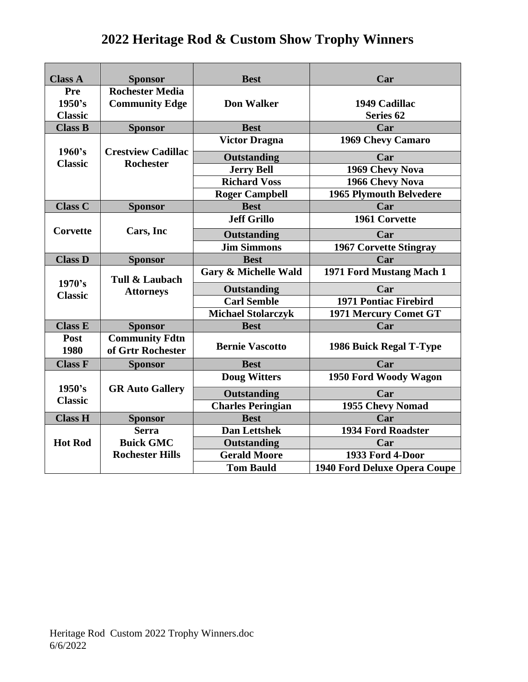| <b>Class A</b>                  | <b>Sponsor</b>                                  | <b>Best</b>                     | Car                                   |
|---------------------------------|-------------------------------------------------|---------------------------------|---------------------------------------|
| Pre<br>1950's<br><b>Classic</b> | <b>Rochester Media</b><br><b>Community Edge</b> | <b>Don Walker</b>               | 1949 Cadillac<br>Series <sub>62</sub> |
| <b>Class B</b>                  | <b>Sponsor</b>                                  | <b>Best</b>                     | Car                                   |
| 1960's                          | <b>Crestview Cadillac</b>                       | <b>Victor Dragna</b>            | 1969 Chevy Camaro                     |
| <b>Classic</b>                  | <b>Rochester</b>                                | <b>Outstanding</b>              | Car                                   |
|                                 |                                                 | <b>Jerry Bell</b>               | 1969 Chevy Nova                       |
|                                 |                                                 | <b>Richard Voss</b>             | 1966 Chevy Nova                       |
|                                 |                                                 | <b>Roger Campbell</b>           | <b>1965 Plymouth Belvedere</b>        |
| <b>Class C</b>                  | <b>Sponsor</b>                                  | <b>Best</b>                     | Car                                   |
|                                 |                                                 | <b>Jeff Grillo</b>              | 1961 Corvette                         |
| Corvette                        | Cars, Inc                                       | Outstanding                     | Car                                   |
|                                 |                                                 | <b>Jim Simmons</b>              | <b>1967 Corvette Stingray</b>         |
| <b>Class D</b>                  | <b>Sponsor</b>                                  | <b>Best</b>                     | Car                                   |
| 1970's                          | <b>Tull &amp; Laubach</b>                       | <b>Gary &amp; Michelle Wald</b> | 1971 Ford Mustang Mach 1              |
| <b>Classic</b>                  | <b>Attorneys</b>                                | Outstanding                     | Car                                   |
|                                 |                                                 | <b>Carl Semble</b>              | <b>1971 Pontiac Firebird</b>          |
|                                 |                                                 | <b>Michael Stolarczyk</b>       | 1971 Mercury Comet GT                 |
| <b>Class E</b>                  | <b>Sponsor</b>                                  | <b>Best</b>                     | Car                                   |
| Post<br>1980                    | <b>Community Fdtn</b><br>of Grtr Rochester      | <b>Bernie Vascotto</b>          | 1986 Buick Regal T-Type               |
| <b>Class F</b>                  | <b>Sponsor</b>                                  | <b>Best</b>                     | Car                                   |
|                                 |                                                 | <b>Doug Witters</b>             | 1950 Ford Woody Wagon                 |
| 1950's<br><b>Classic</b>        | <b>GR Auto Gallery</b>                          | <b>Outstanding</b>              | Car                                   |
|                                 |                                                 | <b>Charles Peringian</b>        | 1955 Chevy Nomad                      |
| <b>Class H</b>                  | <b>Sponsor</b>                                  | <b>Best</b>                     | Car                                   |
|                                 | <b>Serra</b>                                    | <b>Dan Lettshek</b>             | <b>1934 Ford Roadster</b>             |
| <b>Hot Rod</b>                  | <b>Buick GMC</b>                                | Outstanding                     | Car                                   |
|                                 | <b>Rochester Hills</b>                          | <b>Gerald Moore</b>             | 1933 Ford 4-Door                      |
|                                 |                                                 | <b>Tom Bauld</b>                | 1940 Ford Deluxe Opera Coupe          |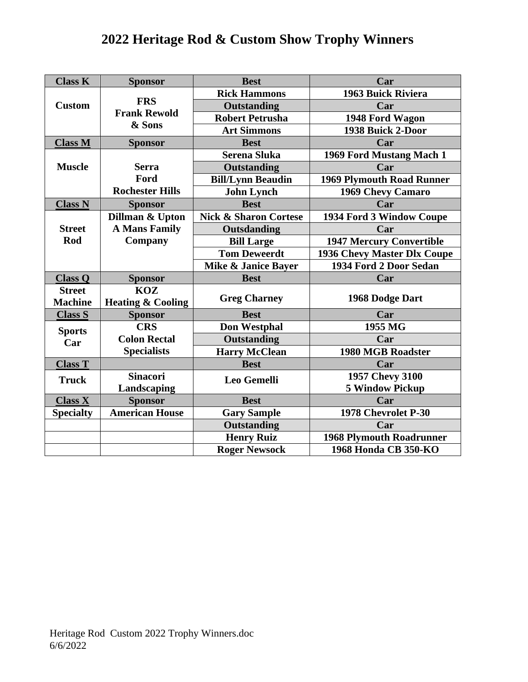| <b>Class K</b>   | <b>Sponsor</b>                              | <b>Best</b>                      | Car                              |
|------------------|---------------------------------------------|----------------------------------|----------------------------------|
|                  |                                             | <b>Rick Hammons</b>              | 1963 Buick Riviera               |
| <b>Custom</b>    | <b>FRS</b><br><b>Frank Rewold</b><br>& Sons | <b>Outstanding</b>               | Car                              |
|                  |                                             | <b>Robert Petrusha</b>           | 1948 Ford Wagon                  |
|                  |                                             | <b>Art Simmons</b>               | 1938 Buick 2-Door                |
| <b>Class M</b>   | <b>Sponsor</b>                              | <b>Best</b>                      | Car                              |
|                  |                                             | <b>Serena Sluka</b>              | 1969 Ford Mustang Mach 1         |
| <b>Muscle</b>    | <b>Serra</b>                                | <b>Outstanding</b>               | Car                              |
|                  | Ford                                        | <b>Bill/Lynn Beaudin</b>         | <b>1969 Plymouth Road Runner</b> |
|                  | <b>Rochester Hills</b>                      | <b>John Lynch</b>                | 1969 Chevy Camaro                |
| <b>Class N</b>   | <b>Sponsor</b>                              | <b>Best</b>                      | Car                              |
|                  | Dillman & Upton                             | <b>Nick &amp; Sharon Cortese</b> | 1934 Ford 3 Window Coupe         |
| <b>Street</b>    | <b>A Mans Family</b>                        | Outsdanding                      | Car                              |
| Rod              | Company                                     | <b>Bill Large</b>                | <b>1947 Mercury Convertible</b>  |
|                  |                                             | <b>Tom Deweerdt</b>              | 1936 Chevy Master Dlx Coupe      |
|                  |                                             | Mike & Janice Bayer              | 1934 Ford 2 Door Sedan           |
| <b>Class Q</b>   | <b>Sponsor</b>                              | <b>Best</b>                      | Car                              |
| <b>Street</b>    | <b>KOZ</b>                                  |                                  |                                  |
| <b>Machine</b>   | <b>Heating &amp; Cooling</b>                | <b>Greg Charney</b>              | 1968 Dodge Dart                  |
| <b>Class S</b>   | <b>Sponsor</b>                              | <b>Best</b>                      | Car                              |
| <b>Sports</b>    | <b>CRS</b>                                  | <b>Don Westphal</b>              | 1955 MG                          |
| Car              | <b>Colon Rectal</b>                         | Outstanding                      | Car                              |
|                  | <b>Specialists</b>                          | <b>Harry McClean</b>             | <b>1980 MGB Roadster</b>         |
| <b>Class T</b>   |                                             | <b>Best</b>                      | Car                              |
| <b>Truck</b>     | <b>Sinacori</b>                             | Leo Gemelli                      | 1957 Chevy 3100                  |
|                  | Landscaping                                 |                                  | <b>5 Window Pickup</b>           |
| <b>Class X</b>   | <b>Sponsor</b>                              | <b>Best</b>                      | Car                              |
| <b>Specialty</b> | <b>American House</b>                       | <b>Gary Sample</b>               | 1978 Chevrolet P-30              |
|                  |                                             | <b>Outstanding</b>               | Car                              |
|                  |                                             | <b>Henry Ruiz</b>                | <b>1968 Plymouth Roadrunner</b>  |
|                  |                                             | <b>Roger Newsock</b>             | 1968 Honda CB 350-KO             |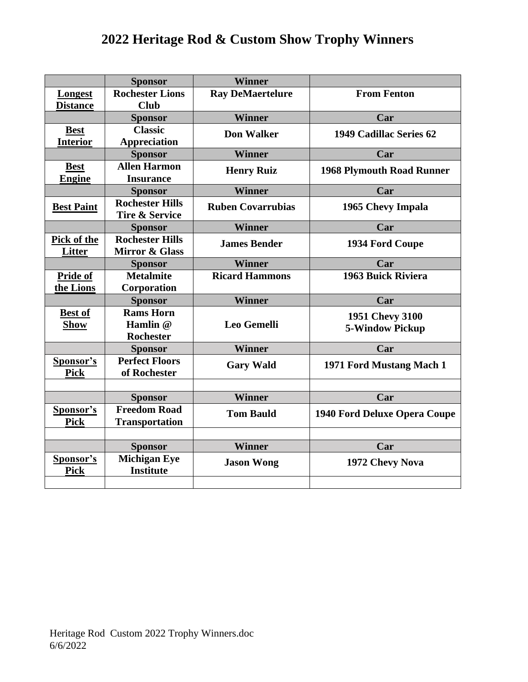|                              | <b>Sponsor</b>                                      | <b>Winner</b>            |                                  |
|------------------------------|-----------------------------------------------------|--------------------------|----------------------------------|
| Longest                      | <b>Rochester Lions</b>                              | <b>Ray DeMaertelure</b>  | <b>From Fenton</b>               |
| <b>Distance</b>              | <b>Club</b>                                         |                          |                                  |
|                              | <b>Sponsor</b>                                      | <b>Winner</b>            | Car                              |
| <b>Best</b>                  | <b>Classic</b>                                      | <b>Don Walker</b>        | 1949 Cadillac Series 62          |
| <b>Interior</b>              | <b>Appreciation</b>                                 |                          |                                  |
|                              | <b>Sponsor</b>                                      | <b>Winner</b>            | Car                              |
| <b>Best</b>                  | <b>Allen Harmon</b>                                 | <b>Henry Ruiz</b>        | <b>1968 Plymouth Road Runner</b> |
| <b>Engine</b>                | <b>Insurance</b>                                    |                          |                                  |
|                              | <b>Sponsor</b>                                      | <b>Winner</b>            | Car                              |
| <b>Best Paint</b>            | <b>Rochester Hills</b><br><b>Tire &amp; Service</b> | <b>Ruben Covarrubias</b> | 1965 Chevy Impala                |
|                              | <b>Sponsor</b>                                      | <b>Winner</b>            | Car                              |
| Pick of the<br><b>Litter</b> | <b>Rochester Hills</b><br><b>Mirror &amp; Glass</b> | <b>James Bender</b>      | 1934 Ford Coupe                  |
|                              | <b>Sponsor</b>                                      | <b>Winner</b>            | Car                              |
| Pride of                     | <b>Metalmite</b>                                    | <b>Ricard Hammons</b>    | 1963 Buick Riviera               |
| the Lions                    | Corporation                                         |                          |                                  |
|                              | <b>Sponsor</b>                                      | <b>Winner</b>            | Car                              |
| <b>Best of</b>               | <b>Rams Horn</b>                                    |                          | 1951 Chevy 3100                  |
| <b>Show</b>                  | Hamlin @                                            | <b>Leo Gemelli</b>       | <b>5-Window Pickup</b>           |
|                              | <b>Rochester</b>                                    |                          |                                  |
|                              | <b>Sponsor</b>                                      | Winner                   | Car                              |
| Sponsor's                    | <b>Perfect Floors</b>                               | <b>Gary Wald</b>         | 1971 Ford Mustang Mach 1         |
| <b>Pick</b>                  | of Rochester                                        |                          |                                  |
|                              |                                                     |                          |                                  |
|                              | <b>Sponsor</b>                                      | <b>Winner</b>            | Car                              |
| Sponsor's                    | <b>Freedom Road</b>                                 | <b>Tom Bauld</b>         | 1940 Ford Deluxe Opera Coupe     |
| <b>Pick</b>                  | <b>Transportation</b>                               |                          |                                  |
|                              |                                                     |                          |                                  |
|                              | <b>Sponsor</b>                                      | <b>Winner</b>            | Car                              |
| Sponsor's                    | <b>Michigan Eye</b>                                 | <b>Jason Wong</b>        | 1972 Chevy Nova                  |
| <b>Pick</b>                  | <b>Institute</b>                                    |                          |                                  |
|                              |                                                     |                          |                                  |